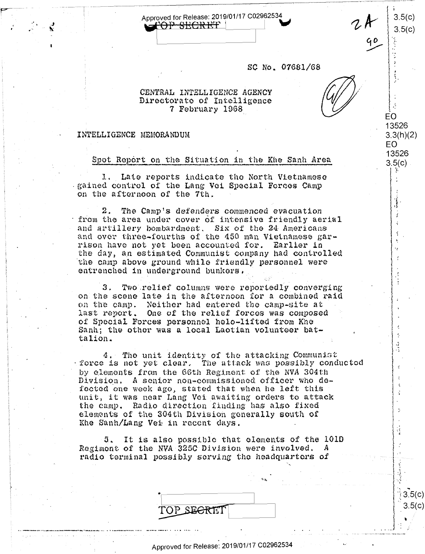Approved for Release: 2019/01/17 C02962534 <del>fop secret</del>  $\blacksquare$ 

SC No. 07681/68

 $3.5(c)$ 

 $3.5(c)$ 

EO 13526

 $3.3(h)(2)$ EO. 13526

 $3.5(c)$ 

 $3.5($ 3.5(c

## CENTRAL INTELLIGENCE AGENCY Directorate of Intelligence 7 February 1968

## INTELLIGENCE MEMORANDUM

Spot Report on the Situation in the Khe Sanh Area

1. Late reports indicate the North Vietnamese gained control of the Lang Vei Special Forces Camp on the afternoon of the 7th.

 $2.$ The Camp's defenders commenced evacuation from the area under cover of intensive friendly aerial and artillery bombardment. Six of the 24 Americans and over three-fourths of the 450 man Vietnamese garrison have not yet been accounted for. Earlier in the day, an estimated Communist company had controlled the camp above ground while friendly personnel were entrenched in underground bunkers.

Two relief columns were reportedly converging 3. on the scene late in the afternoon for a combined raid on the camp. Neither had entered the camp-site at last report. One of the relief forces was composed of Special Forces personnel helo-lifted from Khe Sanh; the other was a local Laotian volunteer battalion.

The unit identity of the attacking Communist  $4.1$ force is not yet clear. The attack was possibly conducted by elements from the 66th Regiment of the NVA 304th Division. A senior non-commissioned officer who defected one week ago, stated that when he left this unit, it was near Lang Vei awaiting orders to attack the camp. Radio direction finding has also fixed elements of the 304th Division generally south of Khe Sanh/Lang Vei in recent days.

It is also possible that elements of the 101D  $5.$ Regiment of the NVA 325C Division were involved. radio terminal possibly serving the headquarters of

| TOP SEGRET |  |
|------------|--|